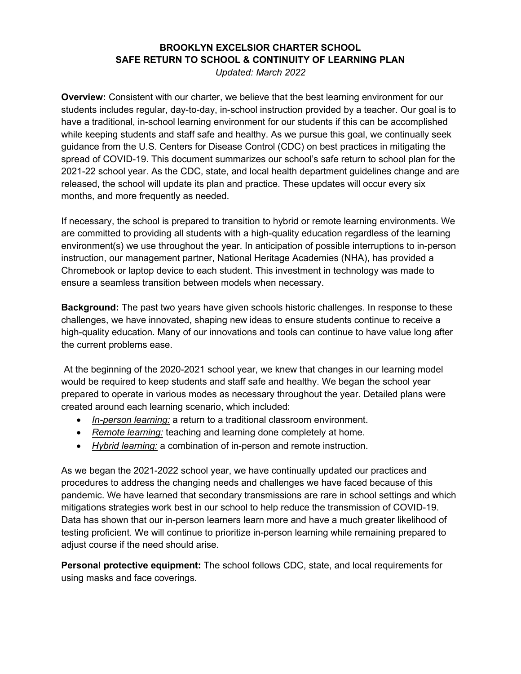## **BROOKLYN EXCELSIOR CHARTER SCHOOL SAFE RETURN TO SCHOOL & CONTINUITY OF LEARNING PLAN**

*Updated: March 2022* 

**Overview:** Consistent with our charter, we believe that the best learning environment for our students includes regular, day-to-day, in-school instruction provided by a teacher. Our goal is to have a traditional, in-school learning environment for our students if this can be accomplished while keeping students and staff safe and healthy. As we pursue this goal, we continually seek guidance from the U.S. Centers for Disease Control (CDC) on best practices in mitigating the spread of COVID-19. This document summarizes our school's safe return to school plan for the 2021-22 school year. As the CDC, state, and local health department guidelines change and are released, the school will update its plan and practice. These updates will occur every six months, and more frequently as needed.

If necessary, the school is prepared to transition to hybrid or remote learning environments. We are committed to providing all students with a high-quality education regardless of the learning environment(s) we use throughout the year. In anticipation of possible interruptions to in-person instruction, our management partner, National Heritage Academies (NHA), has provided a Chromebook or laptop device to each student. This investment in technology was made to ensure a seamless transition between models when necessary.

**Background:** The past two years have given schools historic challenges. In response to these challenges, we have innovated, shaping new ideas to ensure students continue to receive a high-quality education. Many of our innovations and tools can continue to have value long after the current problems ease.

At the beginning of the 2020-2021 school year, we knew that changes in our learning model would be required to keep students and staff safe and healthy. We began the school year prepared to operate in various modes as necessary throughout the year. Detailed plans were created around each learning scenario, which included:

- *In-person learning:* a return to a traditional classroom environment.
- *Remote learning:* teaching and learning done completely at home.
- *Hybrid learning:* a combination of in-person and remote instruction.

As we began the 2021-2022 school year, we have continually updated our practices and procedures to address the changing needs and challenges we have faced because of this pandemic. We have learned that secondary transmissions are rare in school settings and which mitigations strategies work best in our school to help reduce the transmission of COVID-19. Data has shown that our in-person learners learn more and have a much greater likelihood of testing proficient. We will continue to prioritize in-person learning while remaining prepared to adjust course if the need should arise.

**Personal protective equipment:** The school follows CDC, state, and local requirements for using masks and face coverings.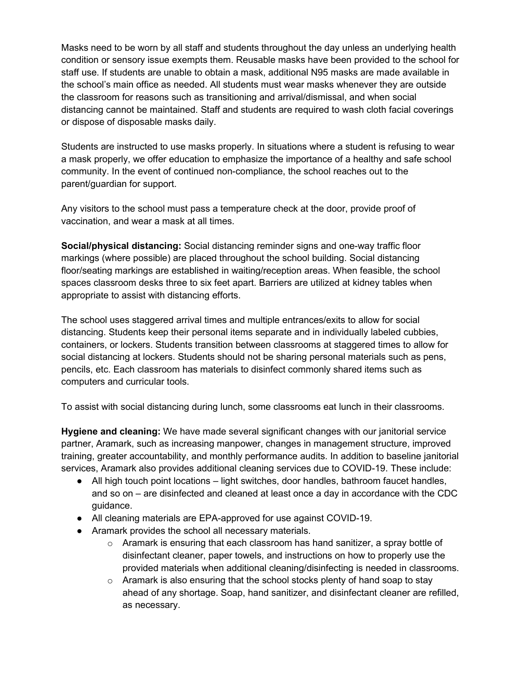Masks need to be worn by all staff and students throughout the day unless an underlying health condition or sensory issue exempts them. Reusable masks have been provided to the school for staff use. If students are unable to obtain a mask, additional N95 masks are made available in the school's main office as needed. All students must wear masks whenever they are outside the classroom for reasons such as transitioning and arrival/dismissal, and when social distancing cannot be maintained. Staff and students are required to wash cloth facial coverings or dispose of disposable masks daily.

Students are instructed to use masks properly. In situations where a student is refusing to wear a mask properly, we offer education to emphasize the importance of a healthy and safe school community. In the event of continued non-compliance, the school reaches out to the parent/guardian for support.

Any visitors to the school must pass a temperature check at the door, provide proof of vaccination, and wear a mask at all times.

**Social/physical distancing:** Social distancing reminder signs and one-way traffic floor markings (where possible) are placed throughout the school building. Social distancing floor/seating markings are established in waiting/reception areas. When feasible, the school spaces classroom desks three to six feet apart. Barriers are utilized at kidney tables when appropriate to assist with distancing efforts.

The school uses staggered arrival times and multiple entrances/exits to allow for social distancing. Students keep their personal items separate and in individually labeled cubbies, containers, or lockers. Students transition between classrooms at staggered times to allow for social distancing at lockers. Students should not be sharing personal materials such as pens, pencils, etc. Each classroom has materials to disinfect commonly shared items such as computers and curricular tools.

To assist with social distancing during lunch, some classrooms eat lunch in their classrooms.

**Hygiene and cleaning:** We have made several significant changes with our janitorial service partner, Aramark, such as increasing manpower, changes in management structure, improved training, greater accountability, and monthly performance audits. In addition to baseline janitorial services, Aramark also provides additional cleaning services due to COVID-19. These include:

- All high touch point locations light switches, door handles, bathroom faucet handles, and so on – are disinfected and cleaned at least once a day in accordance with the CDC guidance.
- All cleaning materials are EPA-approved for use against COVID-19.
- Aramark provides the school all necessary materials.
	- $\circ$  Aramark is ensuring that each classroom has hand sanitizer, a spray bottle of disinfectant cleaner, paper towels, and instructions on how to properly use the provided materials when additional cleaning/disinfecting is needed in classrooms.
	- o Aramark is also ensuring that the school stocks plenty of hand soap to stay ahead of any shortage. Soap, hand sanitizer, and disinfectant cleaner are refilled, as necessary.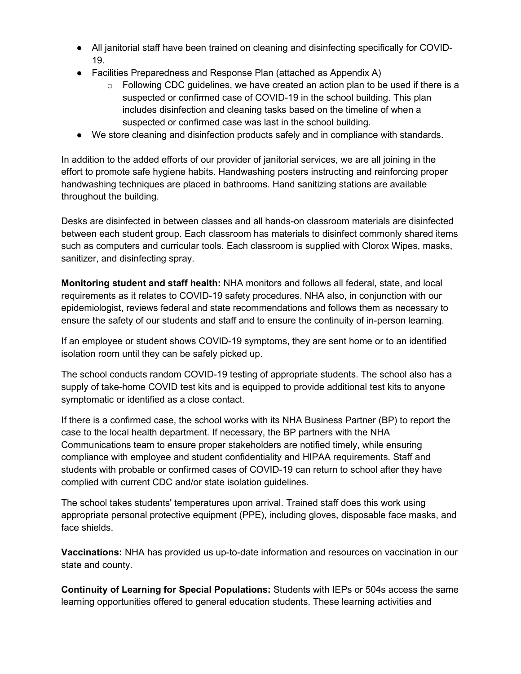- All janitorial staff have been trained on cleaning and disinfecting specifically for COVID-19.
- Facilities Preparedness and Response Plan (attached as Appendix A)
	- $\circ$  Following CDC quidelines, we have created an action plan to be used if there is a suspected or confirmed case of COVID-19 in the school building. This plan includes disinfection and cleaning tasks based on the timeline of when a suspected or confirmed case was last in the school building.
- We store cleaning and disinfection products safely and in compliance with standards.

In addition to the added efforts of our provider of janitorial services, we are all joining in the effort to promote safe hygiene habits. Handwashing posters instructing and reinforcing proper handwashing techniques are placed in bathrooms. Hand sanitizing stations are available throughout the building.

Desks are disinfected in between classes and all hands-on classroom materials are disinfected between each student group. Each classroom has materials to disinfect commonly shared items such as computers and curricular tools. Each classroom is supplied with Clorox Wipes, masks, sanitizer, and disinfecting spray.

**Monitoring student and staff health:** NHA monitors and follows all federal, state, and local requirements as it relates to COVID-19 safety procedures. NHA also, in conjunction with our epidemiologist, reviews federal and state recommendations and follows them as necessary to ensure the safety of our students and staff and to ensure the continuity of in-person learning.

If an employee or student shows COVID-19 symptoms, they are sent home or to an identified isolation room until they can be safely picked up.

The school conducts random COVID-19 testing of appropriate students. The school also has a supply of take-home COVID test kits and is equipped to provide additional test kits to anyone symptomatic or identified as a close contact.

If there is a confirmed case, the school works with its NHA Business Partner (BP) to report the case to the local health department. If necessary, the BP partners with the NHA Communications team to ensure proper stakeholders are notified timely, while ensuring compliance with employee and student confidentiality and HIPAA requirements. Staff and students with probable or confirmed cases of COVID-19 can return to school after they have complied with current CDC and/or state isolation guidelines.

The school takes students' temperatures upon arrival. Trained staff does this work using appropriate personal protective equipment (PPE), including gloves, disposable face masks, and face shields.

**Vaccinations:** NHA has provided us up-to-date information and resources on vaccination in our state and county.

**Continuity of Learning for Special Populations:** Students with IEPs or 504s access the same learning opportunities offered to general education students. These learning activities and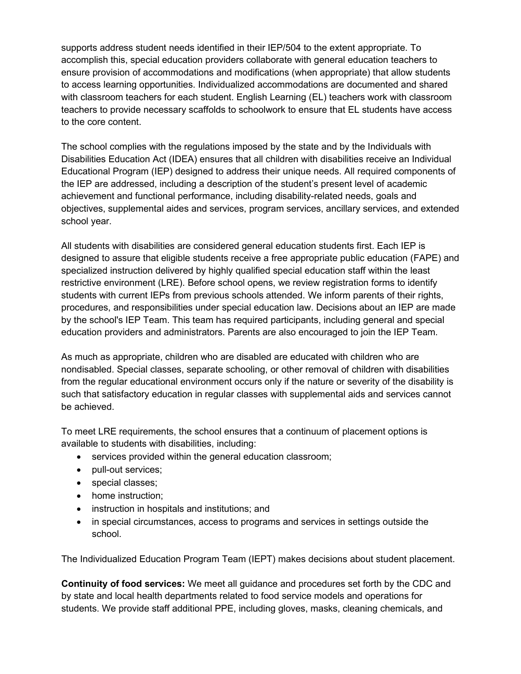supports address student needs identified in their IEP/504 to the extent appropriate. To accomplish this, special education providers collaborate with general education teachers to ensure provision of accommodations and modifications (when appropriate) that allow students to access learning opportunities. Individualized accommodations are documented and shared with classroom teachers for each student. English Learning (EL) teachers work with classroom teachers to provide necessary scaffolds to schoolwork to ensure that EL students have access to the core content.

The school complies with the regulations imposed by the state and by the Individuals with Disabilities Education Act (IDEA) ensures that all children with disabilities receive an Individual Educational Program (IEP) designed to address their unique needs. All required components of the IEP are addressed, including a description of the student's present level of academic achievement and functional performance, including disability-related needs, goals and objectives, supplemental aides and services, program services, ancillary services, and extended school year.

All students with disabilities are considered general education students first. Each IEP is designed to assure that eligible students receive a free appropriate public education (FAPE) and specialized instruction delivered by highly qualified special education staff within the least restrictive environment (LRE). Before school opens, we review registration forms to identify students with current IEPs from previous schools attended. We inform parents of their rights, procedures, and responsibilities under special education law. Decisions about an IEP are made by the school's IEP Team. This team has required participants, including general and special education providers and administrators. Parents are also encouraged to join the IEP Team.

As much as appropriate, children who are disabled are educated with children who are nondisabled. Special classes, separate schooling, or other removal of children with disabilities from the regular educational environment occurs only if the nature or severity of the disability is such that satisfactory education in regular classes with supplemental aids and services cannot be achieved.

To meet LRE requirements, the school ensures that a continuum of placement options is available to students with disabilities, including:

- services provided within the general education classroom;
- pull-out services;
- special classes;
- home instruction;
- instruction in hospitals and institutions; and
- in special circumstances, access to programs and services in settings outside the school.

The Individualized Education Program Team (IEPT) makes decisions about student placement.

**Continuity of food services:** We meet all guidance and procedures set forth by the CDC and by state and local health departments related to food service models and operations for students. We provide staff additional PPE, including gloves, masks, cleaning chemicals, and